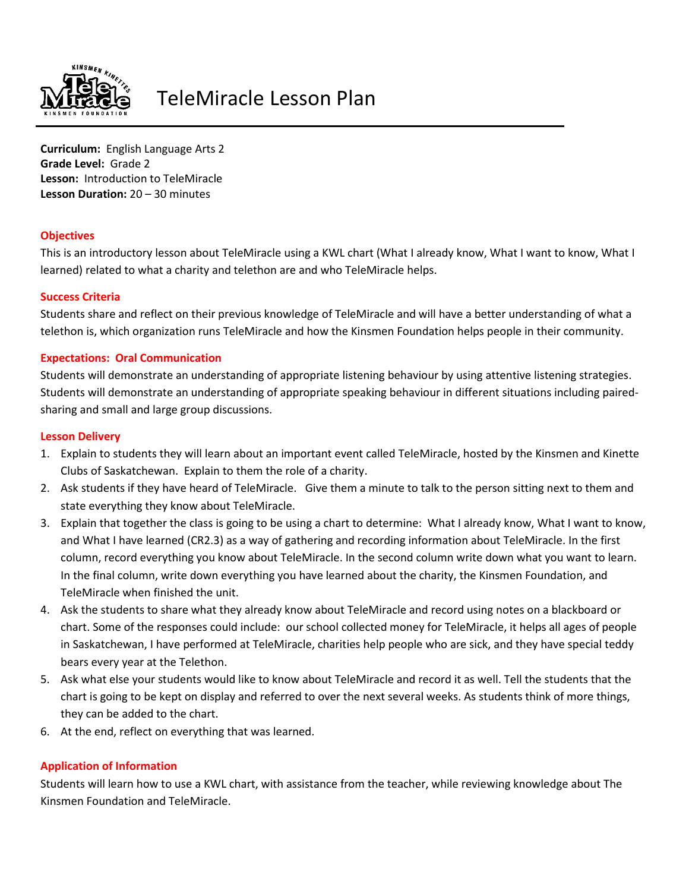

# TeleMiracle Lesson Plan

**Curriculum:** English Language Arts 2 **Grade Level:** Grade 2 **Lesson:** Introduction to TeleMiracle **Lesson Duration:** 20 – 30 minutes

## **Objectives**

This is an introductory lesson about TeleMiracle using a KWL chart (What I already know, What I want to know, What I learned) related to what a charity and telethon are and who TeleMiracle helps.

## **Success Criteria**

Students share and reflect on their previous knowledge of TeleMiracle and will have a better understanding of what a telethon is, which organization runs TeleMiracle and how the Kinsmen Foundation helps people in their community.

## **Expectations: Oral Communication**

Students will demonstrate an understanding of appropriate listening behaviour by using attentive listening strategies. Students will demonstrate an understanding of appropriate speaking behaviour in different situations including pairedsharing and small and large group discussions.

#### **Lesson Delivery**

- 1. Explain to students they will learn about an important event called TeleMiracle, hosted by the Kinsmen and Kinette Clubs of Saskatchewan. Explain to them the role of a charity.
- 2. Ask students if they have heard of TeleMiracle. Give them a minute to talk to the person sitting next to them and state everything they know about TeleMiracle.
- 3. Explain that together the class is going to be using a chart to determine: What I already know, What I want to know, and What I have learned (CR2.3) as a way of gathering and recording information about TeleMiracle. In the first column, record everything you know about TeleMiracle. In the second column write down what you want to learn. In the final column, write down everything you have learned about the charity, the Kinsmen Foundation, and TeleMiracle when finished the unit.
- 4. Ask the students to share what they already know about TeleMiracle and record using notes on a blackboard or chart. Some of the responses could include: our school collected money for TeleMiracle, it helps all ages of people in Saskatchewan, I have performed at TeleMiracle, charities help people who are sick, and they have special teddy bears every year at the Telethon.
- 5. Ask what else your students would like to know about TeleMiracle and record it as well. Tell the students that the chart is going to be kept on display and referred to over the next several weeks. As students think of more things, they can be added to the chart.
- 6. At the end, reflect on everything that was learned.

# **Application of Information**

Students will learn how to use a KWL chart, with assistance from the teacher, while reviewing knowledge about The Kinsmen Foundation and TeleMiracle.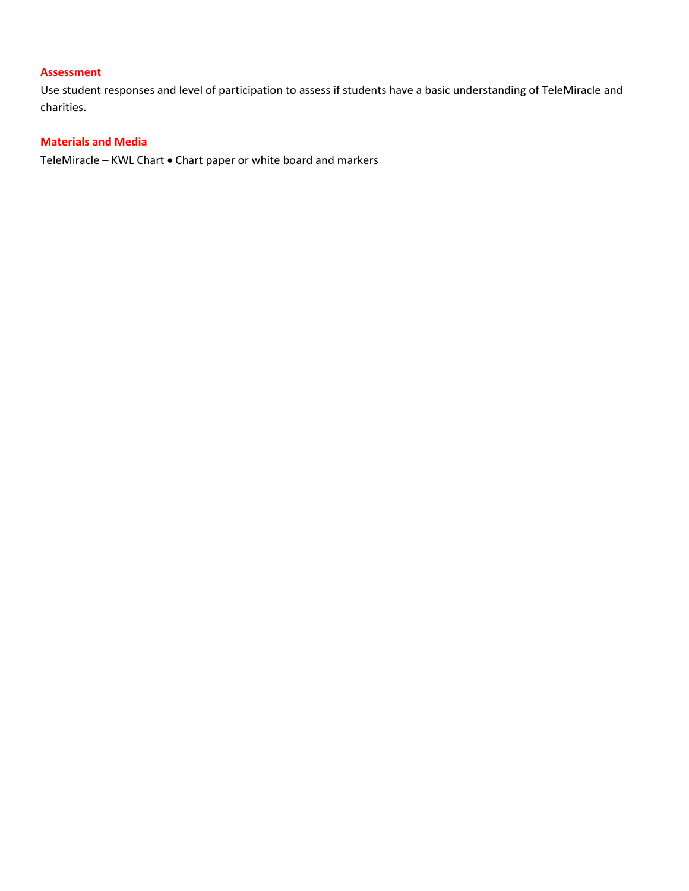# **Assessment**

Use student responses and level of participation to assess if students have a basic understanding of TeleMiracle and charities.

# **Materials and Media**

TeleMiracle – KWL Chart • Chart paper or white board and markers